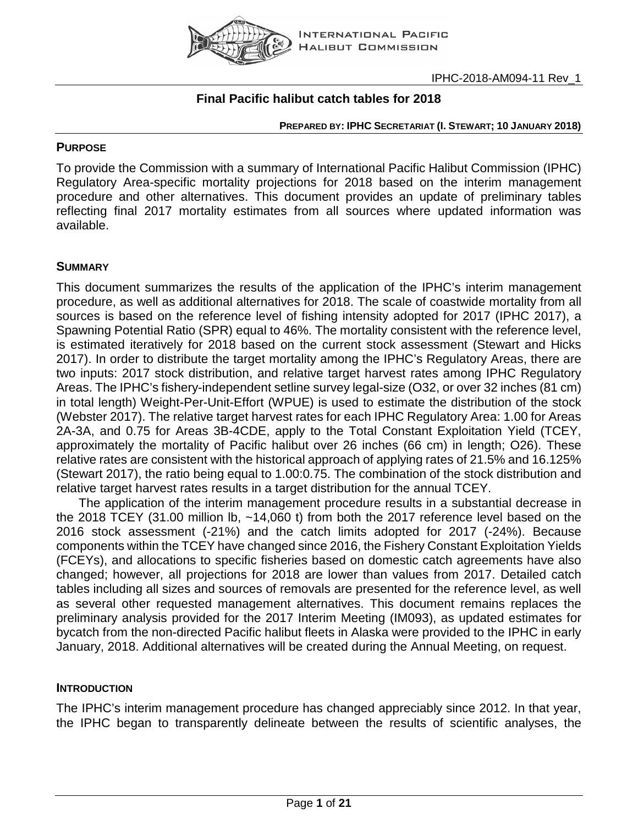

# **Final Pacific halibut catch tables for 2018**

#### **PREPARED BY: IPHC SECRETARIAT (I. STEWART; 10 JANUARY 2018)**

### **PURPOSE**

To provide the Commission with a summary of International Pacific Halibut Commission (IPHC) Regulatory Area-specific mortality projections for 2018 based on the interim management procedure and other alternatives. This document provides an update of preliminary tables reflecting final 2017 mortality estimates from all sources where updated information was available.

# **SUMMARY**

This document summarizes the results of the application of the IPHC's interim management procedure, as well as additional alternatives for 2018. The scale of coastwide mortality from all sources is based on the reference level of fishing intensity adopted for 2017 [\(IPHC 2017\)](#page-7-0), a Spawning Potential Ratio (SPR) equal to 46%. The mortality consistent with the reference level, is estimated iteratively for 2018 based on the current stock assessment [\(Stewart and Hicks](#page-7-1)  [2017\)](#page-7-1). In order to distribute the target mortality among the IPHC's Regulatory Areas, there are two inputs: 2017 stock distribution, and relative target harvest rates among IPHC Regulatory Areas. The IPHC's fishery-independent setline survey legal-size (O32, or over 32 inches (81 cm) in total length) Weight-Per-Unit-Effort (WPUE) is used to estimate the distribution of the stock [\(Webster 2017\)](#page-7-2). The relative target harvest rates for each IPHC Regulatory Area: 1.00 for Areas 2A-3A, and 0.75 for Areas 3B-4CDE, apply to the Total Constant Exploitation Yield (TCEY, approximately the mortality of Pacific halibut over 26 inches (66 cm) in length; O26). These relative rates are consistent with the historical approach of applying rates of 21.5% and 16.125% [\(Stewart 2017\)](#page-7-3), the ratio being equal to 1.00:0.75. The combination of the stock distribution and relative target harvest rates results in a target distribution for the annual TCEY.

The application of the interim management procedure results in a substantial decrease in the 2018 TCEY (31.00 million lb, ~14,060 t) from both the 2017 reference level based on the 2016 stock assessment (-21%) and the catch limits adopted for 2017 (-24%). Because components within the TCEY have changed since 2016, the Fishery Constant Exploitation Yields (FCEYs), and allocations to specific fisheries based on domestic catch agreements have also changed; however, all projections for 2018 are lower than values from 2017. Detailed catch tables including all sizes and sources of removals are presented for the reference level, as well as several other requested management alternatives. This document remains replaces the preliminary analysis provided for the 2017 Interim Meeting (IM093), as updated estimates for bycatch from the non-directed Pacific halibut fleets in Alaska were provided to the IPHC in early January, 2018. Additional alternatives will be created during the Annual Meeting, on request.

### **INTRODUCTION**

The IPHC's interim management procedure has changed appreciably since 2012. In that year, the IPHC began to transparently delineate between the results of scientific analyses, the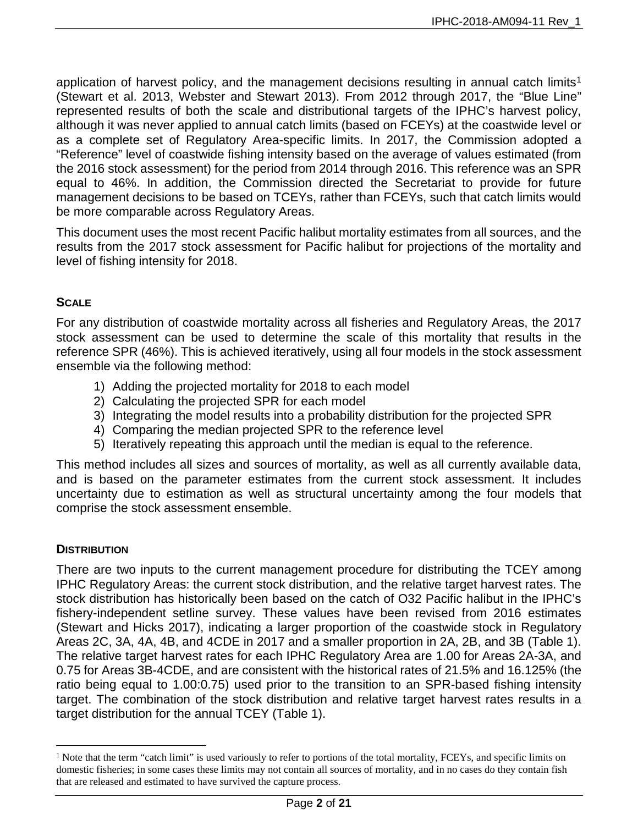application of harvest policy, and the management decisions resulting in annual catch limits<sup>[1](#page-1-0)</sup> [\(Stewart et al. 2013,](#page-7-4) [Webster and Stewart 2013\)](#page-7-5). From 2012 through 2017, the "Blue Line" represented results of both the scale and distributional targets of the IPHC's harvest policy, although it was never applied to annual catch limits (based on FCEYs) at the coastwide level or as a complete set of Regulatory Area-specific limits. In 2017, the Commission adopted a "Reference" level of coastwide fishing intensity based on the average of values estimated (from the 2016 stock assessment) for the period from 2014 through 2016. This reference was an SPR equal to 46%. In addition, the Commission directed the Secretariat to provide for future management decisions to be based on TCEYs, rather than FCEYs, such that catch limits would be more comparable across Regulatory Areas.

This document uses the most recent Pacific halibut mortality estimates from all sources, and the results from the 2017 stock assessment for Pacific halibut for projections of the mortality and level of fishing intensity for 2018.

# **SCALE**

For any distribution of coastwide mortality across all fisheries and Regulatory Areas, the 2017 stock assessment can be used to determine the scale of this mortality that results in the reference SPR (46%). This is achieved iteratively, using all four models in the stock assessment ensemble via the following method:

- 1) Adding the projected mortality for 2018 to each model
- 2) Calculating the projected SPR for each model
- 3) Integrating the model results into a probability distribution for the projected SPR
- 4) Comparing the median projected SPR to the reference level
- 5) Iteratively repeating this approach until the median is equal to the reference.

This method includes all sizes and sources of mortality, as well as all currently available data, and is based on the parameter estimates from the current stock assessment. It includes uncertainty due to estimation as well as structural uncertainty among the four models that comprise the stock assessment ensemble.

### **DISTRIBUTION**

There are two inputs to the current management procedure for distributing the TCEY among IPHC Regulatory Areas: the current stock distribution, and the relative target harvest rates. The stock distribution has historically been based on the catch of O32 Pacific halibut in the IPHC's fishery-independent setline survey. These values have been revised from 2016 estimates [\(Stewart and](#page-7-1) Hicks 2017), indicating a larger proportion of the coastwide stock in Regulatory Areas 2C, 3A, 4A, 4B, and 4CDE in 2017 and a smaller proportion in 2A, 2B, and 3B (Table 1). The relative target harvest rates for each IPHC Regulatory Area are 1.00 for Areas 2A-3A, and 0.75 for Areas 3B-4CDE, and are consistent with the historical rates of 21.5% and 16.125% (the ratio being equal to 1.00:0.75) used prior to the transition to an SPR-based fishing intensity target. The combination of the stock distribution and relative target harvest rates results in a target distribution for the annual TCEY (Table 1).

<span id="page-1-0"></span><sup>&</sup>lt;sup>1</sup> Note that the term "catch limit" is used variously to refer to portions of the total mortality, FCEYs, and specific limits on domestic fisheries; in some cases these limits may not contain all sources of mortality, and in no cases do they contain fish that are released and estimated to have survived the capture process.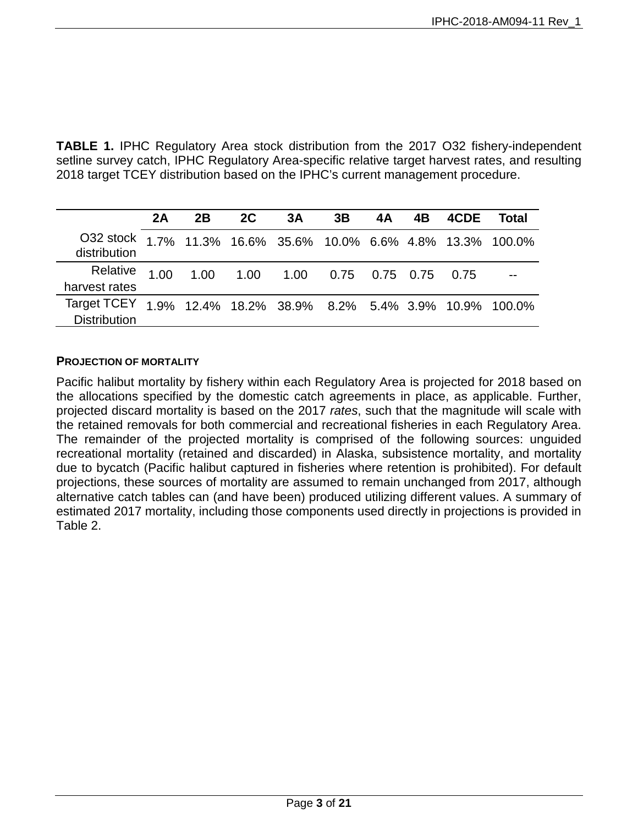**TABLE 1.** IPHC Regulatory Area stock distribution from the 2017 O32 fishery-independent setline survey catch, IPHC Regulatory Area-specific relative target harvest rates, and resulting 2018 target TCEY distribution based on the IPHC's current management procedure.

|                                                                               | 2A   | 2B | 2C | 3A                                 | 3B | 4A | 4B | 4CDE | Total                                              |
|-------------------------------------------------------------------------------|------|----|----|------------------------------------|----|----|----|------|----------------------------------------------------|
| O32 stock 1.7% 11.3% 16.6% 35.6% 10.0% 6.6% 4.8% 13.3% 100.0%<br>distribution |      |    |    |                                    |    |    |    |      |                                                    |
| Relative<br>harvest rates                                                     | 1.00 |    |    | 1.00  1.00  1.00  0.75  0.75  0.75 |    |    |    | 0.75 |                                                    |
| Target TCEY<br><b>Distribution</b>                                            |      |    |    |                                    |    |    |    |      | 1.9% 12.4% 18.2% 38.9% 8.2% 5.4% 3.9% 10.9% 100.0% |

#### **PROJECTION OF MORTALITY**

Pacific halibut mortality by fishery within each Regulatory Area is projected for 2018 based on the allocations specified by the domestic catch agreements in place, as applicable. Further, projected discard mortality is based on the 2017 *rates*, such that the magnitude will scale with the retained removals for both commercial and recreational fisheries in each Regulatory Area. The remainder of the projected mortality is comprised of the following sources: unguided recreational mortality (retained and discarded) in Alaska, subsistence mortality, and mortality due to bycatch (Pacific halibut captured in fisheries where retention is prohibited). For default projections, these sources of mortality are assumed to remain unchanged from 2017, although alternative catch tables can (and have been) produced utilizing different values. A summary of estimated 2017 mortality, including those components used directly in projections is provided in Table 2.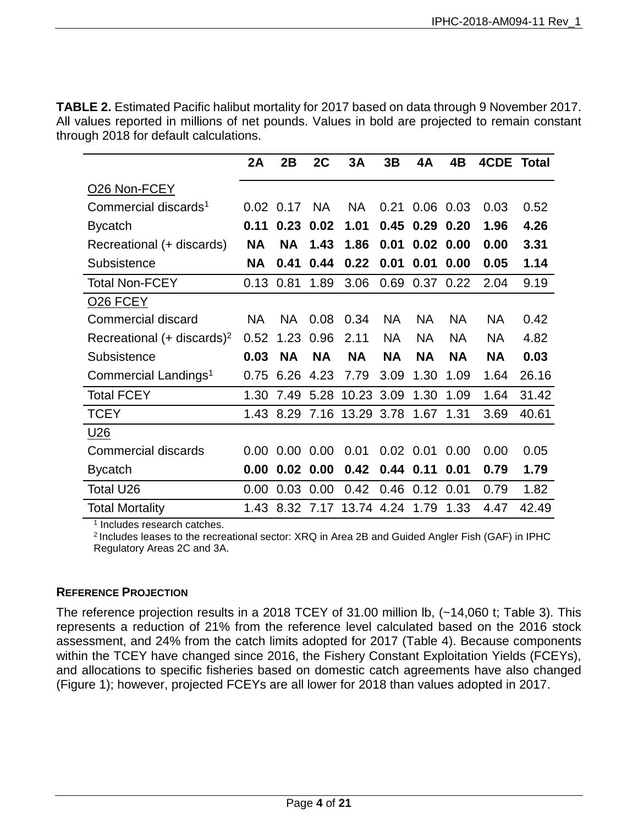**TABLE 2.** Estimated Pacific halibut mortality for 2017 based on data through 9 November 2017. All values reported in millions of net pounds. Values in bold are projected to remain constant through 2018 for default calculations.

|                                          | 2A        | 2B          | 2C           | 3A                   | 3B        | 4A             | 4Β            | <b>4CDE Total</b> |       |
|------------------------------------------|-----------|-------------|--------------|----------------------|-----------|----------------|---------------|-------------------|-------|
| O26 Non-FCEY                             |           |             |              |                      |           |                |               |                   |       |
| Commercial discards <sup>1</sup>         |           | $0.02$ 0.17 | <b>NA</b>    | <b>NA</b>            | 0.21      |                | $0.06$ 0.03   | 0.03              | 0.52  |
| <b>Bycatch</b>                           | 0.11      | 0.23        | 0.02         | 1.01                 | 0.45      |                | $0.29$ $0.20$ | 1.96              | 4.26  |
| Recreational (+ discards)                | <b>NA</b> | <b>NA</b>   | 1.43         | 1.86                 | 0.01      |                | $0.02$ 0.00   | 0.00              | 3.31  |
| Subsistence                              | ΝA        | 0.41        | 0.44         | 0.22                 | 0.01      | 0.01           | 0.00          | 0.05              | 1.14  |
| <b>Total Non-FCEY</b>                    | 0.13      | 0.81        | 1.89         | 3.06                 | 0.69      |                | 0.37 0.22     | 2.04              | 9.19  |
| O <sub>26</sub> FCEY                     |           |             |              |                      |           |                |               |                   |       |
| Commercial discard                       | <b>NA</b> | <b>NA</b>   | 0.08         | 0.34                 | <b>NA</b> | <b>NA</b>      | <b>NA</b>     | <b>NA</b>         | 0.42  |
| Recreational $(+$ discards) <sup>2</sup> | 0.52      | 1.23        | 0.96         | 2.11                 | <b>NA</b> | <b>NA</b>      | <b>NA</b>     | <b>NA</b>         | 4.82  |
| Subsistence                              | 0.03      | <b>NA</b>   | <b>NA</b>    | <b>NA</b>            | <b>NA</b> | <b>NA</b>      | <b>NA</b>     | <b>NA</b>         | 0.03  |
| Commercial Landings <sup>1</sup>         | 0.75      | 6.26        | 4.23         | 7.79                 | 3.09      | 1.30           | 1.09          | 1.64              | 26.16 |
| <b>Total FCEY</b>                        | 1.30      | 7.49        | 5.28         | 10.23 3.09           |           | 1.30           | 1.09          | 1.64              | 31.42 |
| <b>TCEY</b>                              | 1.43      | 8.29        | 7.16         | 13.29 3.78           |           | 1.67           | 1.31          | 3.69              | 40.61 |
| U <sub>26</sub>                          |           |             |              |                      |           |                |               |                   |       |
| <b>Commercial discards</b>               | 0.00      |             | $0.00\ 0.00$ | 0.01                 |           | $0.02$ 0.01    | 0.00          | 0.00              | 0.05  |
| <b>Bycatch</b>                           | 0.00      |             | $0.02$ 0.00  | 0.42                 |           | $0.44$ 0.11    | 0.01          | 0.79              | 1.79  |
| <b>Total U26</b>                         | 0.00      | 0.03        | 0.00         | 0.42                 |           | 0.46 0.12 0.01 |               | 0.79              | 1.82  |
| <b>Total Mortality</b>                   | 1.43      |             |              | 8.32 7.17 13.74 4.24 |           | 1.79           | 1.33          | 4.47              | 42.49 |

<sup>1</sup> Includes research catches.

<sup>2</sup> Includes leases to the recreational sector: XRQ in Area 2B and Guided Angler Fish (GAF) in IPHC Regulatory Areas 2C and 3A.

### **REFERENCE PROJECTION**

The reference projection results in a 2018 TCEY of 31.00 million lb, (~14,060 t; Table 3). This represents a reduction of 21% from the reference level calculated based on the 2016 stock assessment, and 24% from the catch limits adopted for 2017 (Table 4). Because components within the TCEY have changed since 2016, the Fishery Constant Exploitation Yields (FCEYs), and allocations to specific fisheries based on domestic catch agreements have also changed (Figure 1); however, projected FCEYs are all lower for 2018 than values adopted in 2017.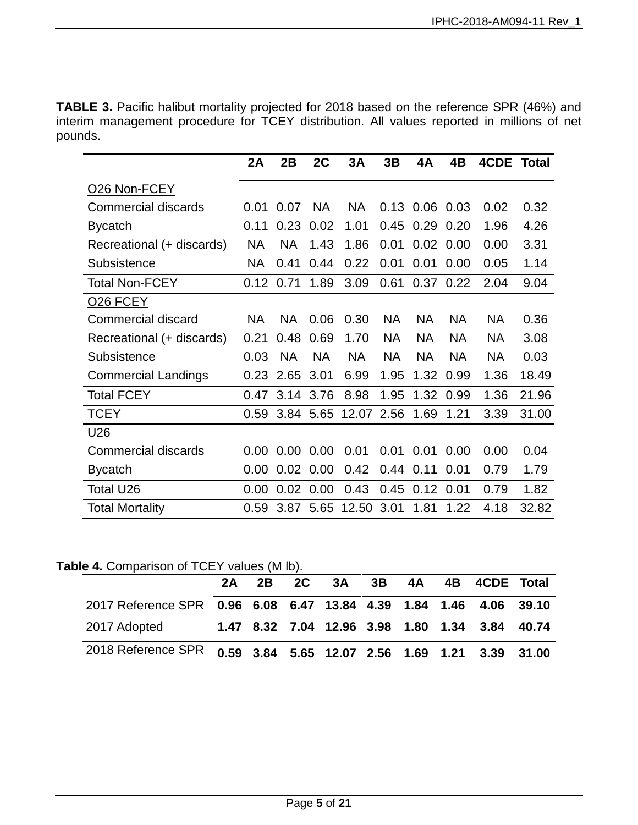**TABLE 3.** Pacific halibut mortality projected for 2018 based on the reference SPR (46%) and interim management procedure for TCEY distribution. All values reported in millions of net pounds.

|                            | 2A        | 2B        | 2C        | 3A         | 3B        | 4A        | 4B          | 4CDE      | Total |
|----------------------------|-----------|-----------|-----------|------------|-----------|-----------|-------------|-----------|-------|
| O <sub>26</sub> Non-FCEY   |           |           |           |            |           |           |             |           |       |
| <b>Commercial discards</b> | 0.01      | 0.07      | <b>NA</b> | <b>NA</b>  | 0.13      |           | $0.06$ 0.03 | 0.02      | 0.32  |
| <b>Bycatch</b>             | 0.11      | 0.23      | 0.02      | 1.01       | 0.45      | 0.29      | 0.20        | 1.96      | 4.26  |
| Recreational (+ discards)  | <b>NA</b> | <b>NA</b> | 1.43      | 1.86       | 0.01      | 0.02      | 0.00        | 0.00      | 3.31  |
| Subsistence                | NA        | 0.41      | 0.44      | 0.22       | 0.01      | 0.01      | 0.00        | 0.05      | 1.14  |
| <b>Total Non-FCEY</b>      | 0.12      | 0.71      | 1.89      | 3.09       | 0.61      | 0.37      | 0.22        | 2.04      | 9.04  |
| O <sub>26</sub> FCEY       |           |           |           |            |           |           |             |           |       |
| <b>Commercial discard</b>  | <b>NA</b> | <b>NA</b> | 0.06      | 0.30       | <b>NA</b> | <b>NA</b> | <b>NA</b>   | <b>NA</b> | 0.36  |
| Recreational (+ discards)  | 0.21      | 0.48      | 0.69      | 1.70       | <b>NA</b> | <b>NA</b> | <b>NA</b>   | <b>NA</b> | 3.08  |
| Subsistence                | 0.03      | <b>NA</b> | <b>NA</b> | <b>NA</b>  | NA.       | <b>NA</b> | <b>NA</b>   | <b>NA</b> | 0.03  |
| <b>Commercial Landings</b> | 0.23      | 2.65      | 3.01      | 6.99       | 1.95      | 1.32      | 0.99        | 1.36      | 18.49 |
| <b>Total FCEY</b>          | 0.47      | 3.14      | 3.76      | 8.98       | 1.95      | 1.32      | 0.99        | 1.36      | 21.96 |
| <b>TCEY</b>                | 0.59      |           | 3.84 5.65 | 12.07 2.56 |           | 1.69      | 1.21        | 3.39      | 31.00 |
| U <sub>26</sub>            |           |           |           |            |           |           |             |           |       |
| Commercial discards        | 0.00      | 0.00      | 0.00      | 0.01       | 0.01      | 0.01      | 0.00        | 0.00      | 0.04  |
| <b>Bycatch</b>             | 0.00      | 0.02      | 0.00      | 0.42       | 0.44      | 0.11      | 0.01        | 0.79      | 1.79  |
| Total U26                  | 0.00      | 0.02      | 0.00      | 0.43       | 0.45      | 0.12      | 0.01        | 0.79      | 1.82  |
| <b>Total Mortality</b>     | 0.59      | 3.87      | 5.65      | 12.50      | 3.01      | 1.81      | 1.22        | 4.18      | 32.82 |

Table 4. Comparison of TCEY values (M lb).

|                                                                   |  | 2A 2B 2C 3A 3B 4A |  | 4B 4CDE Total                                  |  |
|-------------------------------------------------------------------|--|-------------------|--|------------------------------------------------|--|
| 2017 Reference SPR 0.96 6.08 6.47 13.84 4.39 1.84 1.46 4.06 39.10 |  |                   |  |                                                |  |
| 2017 Adopted                                                      |  |                   |  | 1.47 8.32 7.04 12.96 3.98 1.80 1.34 3.84 40.74 |  |
| 2018 Reference SPR 0.59 3.84 5.65 12.07 2.56 1.69 1.21 3.39 31.00 |  |                   |  |                                                |  |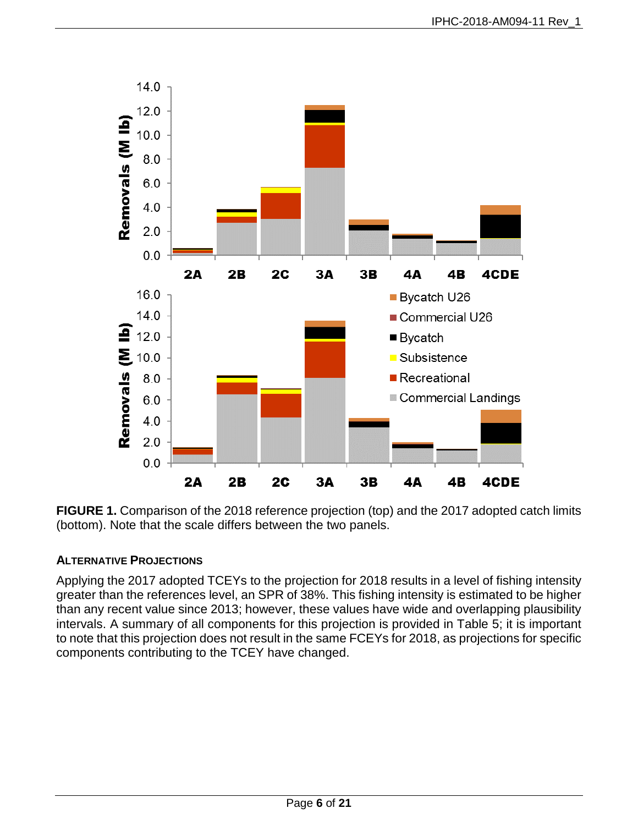

**FIGURE 1.** Comparison of the 2018 reference projection (top) and the 2017 adopted catch limits (bottom). Note that the scale differs between the two panels.

### **ALTERNATIVE PROJECTIONS**

Applying the 2017 adopted TCEYs to the projection for 2018 results in a level of fishing intensity greater than the references level, an SPR of 38%. This fishing intensity is estimated to be higher than any recent value since 2013; however, these values have wide and overlapping plausibility intervals. A summary of all components for this projection is provided in Table 5; it is important to note that this projection does not result in the same FCEYs for 2018, as projections for specific components contributing to the TCEY have changed.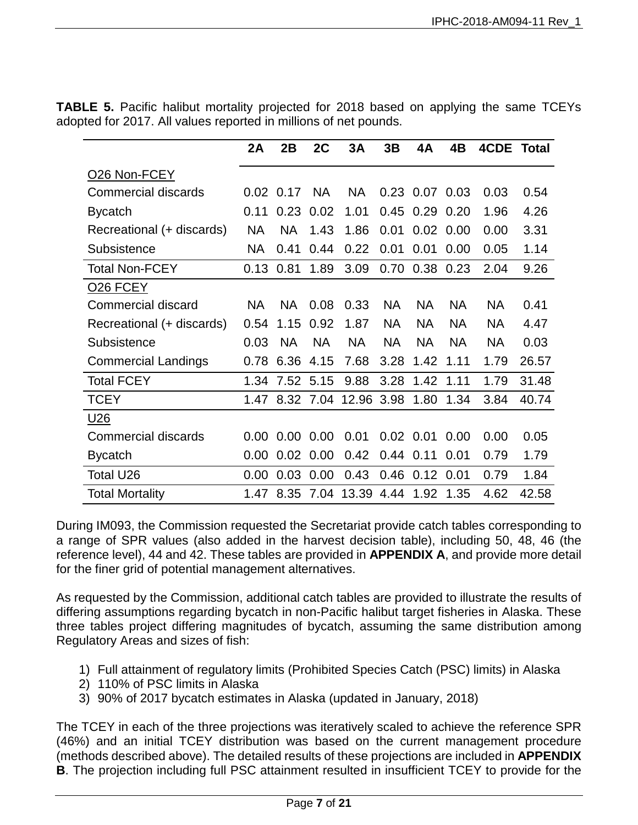|                            | 2A        | 2B        | 2C        | 3A         | 3B        | 4A             | 4B        | <b>4CDE Total</b> |       |
|----------------------------|-----------|-----------|-----------|------------|-----------|----------------|-----------|-------------------|-------|
| O <sub>26</sub> Non-FCEY   |           |           |           |            |           |                |           |                   |       |
| <b>Commercial discards</b> | 0.02      | 0.17      | <b>NA</b> | <b>NA</b>  |           | 0.23 0.07 0.03 |           | 0.03              | 0.54  |
| <b>Bycatch</b>             | 0.11      | 0.23      | 0.02      | 1.01       | 0.45      | 0.29           | 0.20      | 1.96              | 4.26  |
| Recreational (+ discards)  | <b>NA</b> | <b>NA</b> | 1.43      | 1.86       | 0.01      | 0.02           | 0.00      | 0.00              | 3.31  |
| Subsistence                | <b>NA</b> | 0.41      | 0.44      | 0.22       | 0.01      | 0.01           | 0.00      | 0.05              | 1.14  |
| <b>Total Non-FCEY</b>      | 0.13      | 0.81      | 1.89      | 3.09       | 0.70      | 0.38           | 0.23      | 2.04              | 9.26  |
| <b>026 FCEY</b>            |           |           |           |            |           |                |           |                   |       |
| Commercial discard         | <b>NA</b> | NA        | 0.08      | 0.33       | ΝA        | <b>NA</b>      | <b>NA</b> | <b>NA</b>         | 0.41  |
| Recreational (+ discards)  | 0.54      | 1.15      | 0.92      | 1.87       | <b>NA</b> | <b>NA</b>      | <b>NA</b> | <b>NA</b>         | 4.47  |
| Subsistence                | 0.03      | <b>NA</b> | <b>NA</b> | <b>NA</b>  | NA        | <b>NA</b>      | <b>NA</b> | <b>NA</b>         | 0.03  |
| <b>Commercial Landings</b> | 0.78      | 6.36      | 4.15      | 7.68       | 3.28      | 1.42           | 1.11      | 1.79              | 26.57 |
| <b>Total FCEY</b>          | 1.34      | 7.52      | 5.15      | 9.88       | 3.28      | 1.42           | 1.11      | 1.79              | 31.48 |
| <b>TCEY</b>                | 1.47      | 8.32      | 7.04      | 12.96 3.98 |           | 1.80           | 1.34      | 3.84              | 40.74 |
| U <sub>26</sub>            |           |           |           |            |           |                |           |                   |       |
| <b>Commercial discards</b> | 0.00      | 0.00      | 0.00      | 0.01       |           | $0.02$ 0.01    | 0.00      | 0.00              | 0.05  |
| <b>Bycatch</b>             | 0.00      | 0.02      | 0.00      | 0.42       | 0.44      | 0.11           | 0.01      | 0.79              | 1.79  |
| Total U26                  | 0.00      | 0.03      | 0.00      | 0.43       | 0.46      | 0.12           | 0.01      | 0.79              | 1.84  |
| <b>Total Mortality</b>     | 1.47      | 8.35      | 7.04      | 13.39      | 4.44      | 1.92           | 1.35      | 4.62              | 42.58 |

**TABLE 5.** Pacific halibut mortality projected for 2018 based on applying the same TCEYs adopted for 2017. All values reported in millions of net pounds.

During IM093, the Commission requested the Secretariat provide catch tables corresponding to a range of SPR values (also added in the harvest decision table), including 50, 48, 46 (the reference level), 44 and 42. These tables are provided in **APPENDIX A**, and provide more detail for the finer grid of potential management alternatives.

As requested by the Commission, additional catch tables are provided to illustrate the results of differing assumptions regarding bycatch in non-Pacific halibut target fisheries in Alaska. These three tables project differing magnitudes of bycatch, assuming the same distribution among Regulatory Areas and sizes of fish:

- 1) Full attainment of regulatory limits (Prohibited Species Catch (PSC) limits) in Alaska
- 2) 110% of PSC limits in Alaska
- 3) 90% of 2017 bycatch estimates in Alaska (updated in January, 2018)

The TCEY in each of the three projections was iteratively scaled to achieve the reference SPR (46%) and an initial TCEY distribution was based on the current management procedure (methods described above). The detailed results of these projections are included in **APPENDIX B**. The projection including full PSC attainment resulted in insufficient TCEY to provide for the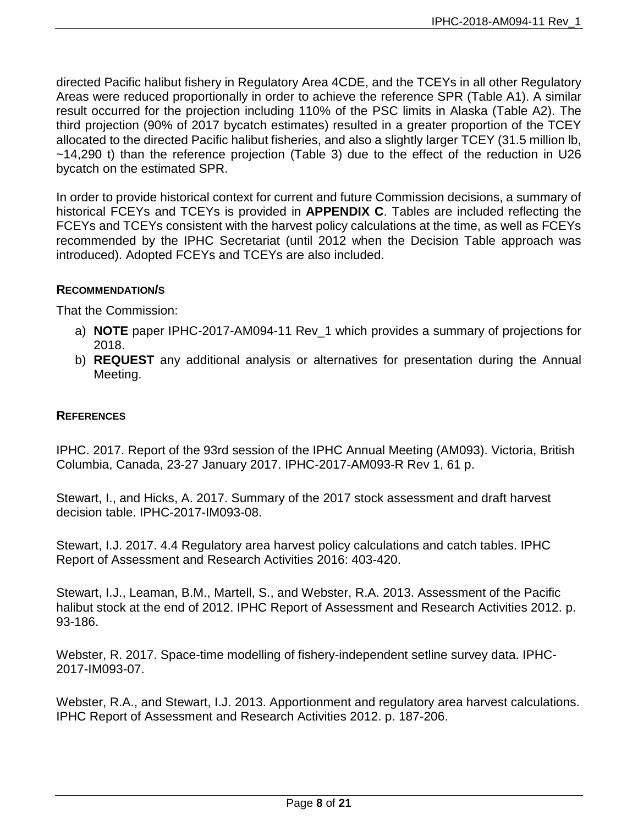directed Pacific halibut fishery in Regulatory Area 4CDE, and the TCEYs in all other Regulatory Areas were reduced proportionally in order to achieve the reference SPR (Table A1). A similar result occurred for the projection including 110% of the PSC limits in Alaska (Table A2). The third projection (90% of 2017 bycatch estimates) resulted in a greater proportion of the TCEY allocated to the directed Pacific halibut fisheries, and also a slightly larger TCEY (31.5 million lb, ~14,290 t) than the reference projection (Table 3) due to the effect of the reduction in U26 bycatch on the estimated SPR.

In order to provide historical context for current and future Commission decisions, a summary of historical FCEYs and TCEYs is provided in **APPENDIX C**. Tables are included reflecting the FCEYs and TCEYs consistent with the harvest policy calculations at the time, as well as FCEYs recommended by the IPHC Secretariat (until 2012 when the Decision Table approach was introduced). Adopted FCEYs and TCEYs are also included.

#### **RECOMMENDATION/S**

That the Commission:

- a) **NOTE** paper IPHC-2017-AM094-11 Rev\_1 which provides a summary of projections for 2018.
- b) **REQUEST** any additional analysis or alternatives for presentation during the Annual Meeting.

### **REFERENCES**

<span id="page-7-0"></span>IPHC. 2017. Report of the 93rd session of the IPHC Annual Meeting (AM093). Victoria, British Columbia, Canada, 23-27 January 2017. IPHC-2017-AM093-R Rev 1, 61 p.

<span id="page-7-1"></span>Stewart, I., and Hicks, A. 2017. Summary of the 2017 stock assessment and draft harvest decision table. IPHC-2017-IM093-08.

<span id="page-7-3"></span>Stewart, I.J. 2017. 4.4 Regulatory area harvest policy calculations and catch tables. IPHC Report of Assessment and Research Activities 2016: 403-420.

<span id="page-7-4"></span>Stewart, I.J., Leaman, B.M., Martell, S., and Webster, R.A. 2013. Assessment of the Pacific halibut stock at the end of 2012. IPHC Report of Assessment and Research Activities 2012. p. 93-186.

<span id="page-7-2"></span>Webster, R. 2017. Space-time modelling of fishery-independent setline survey data. IPHC-2017-IM093-07.

<span id="page-7-5"></span>Webster, R.A., and Stewart, I.J. 2013. Apportionment and regulatory area harvest calculations. IPHC Report of Assessment and Research Activities 2012. p. 187-206.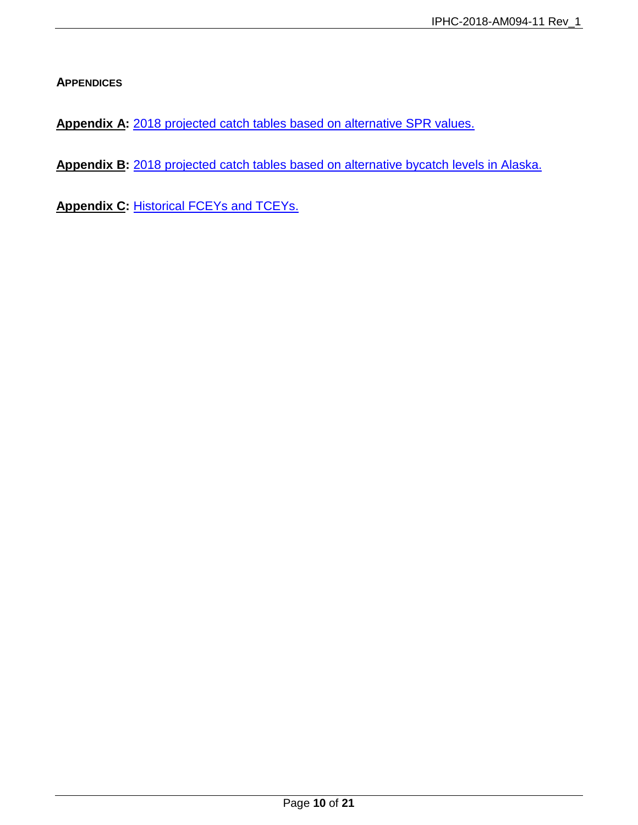**APPENDICES**

**Appendix A:** [2018 projected catch tables based on alternative SPR values.](#page-10-0)

**Appendix B:** [2018 projected catch tables based on alternative bycatch levels in Alaska.](#page-14-0)

**Appendix C: [Historical FCEYs and TCEYs.](#page-17-0)**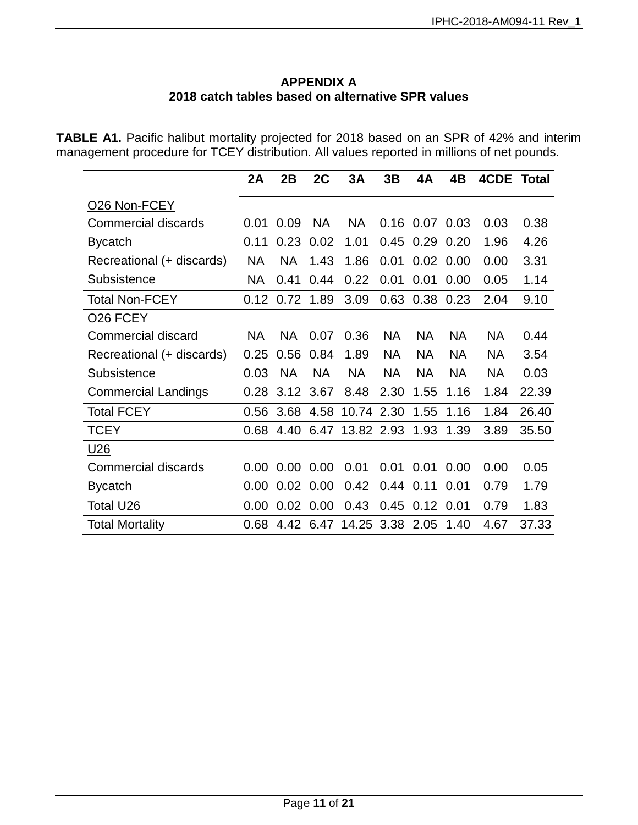### **APPENDIX A 2018 catch tables based on alternative SPR values**

<span id="page-10-0"></span>**TABLE A1.** Pacific halibut mortality projected for 2018 based on an SPR of 42% and interim management procedure for TCEY distribution. All values reported in millions of net pounds.

|                            | 2A        | 2B        | 2C        | 3A         | 3B        | 4A        | 4B          | 4CDE      | <b>Total</b> |
|----------------------------|-----------|-----------|-----------|------------|-----------|-----------|-------------|-----------|--------------|
| O26 Non-FCEY               |           |           |           |            |           |           |             |           |              |
| Commercial discards        | 0.01      | 0.09      | <b>NA</b> | <b>NA</b>  | 0.16      |           | $0.07$ 0.03 | 0.03      | 0.38         |
| <b>Bycatch</b>             | 0.11      | 0.23      | 0.02      | 1.01       | 0.45      | 0.29      | 0.20        | 1.96      | 4.26         |
| Recreational (+ discards)  | NA.       | <b>NA</b> | 1.43      | 1.86       | 0.01      | 0.02      | 0.00        | 0.00      | 3.31         |
| Subsistence                | NA.       | 0.41      | 0.44      | 0.22       | 0.01      | 0.01      | 0.00        | 0.05      | 1.14         |
| <b>Total Non-FCEY</b>      | 0.12      | 0.72      | 1.89      | 3.09       | 0.63      | 0.38      | 0.23        | 2.04      | 9.10         |
| <b>026 FCEY</b>            |           |           |           |            |           |           |             |           |              |
| <b>Commercial discard</b>  | <b>NA</b> | <b>NA</b> | 0.07      | 0.36       | <b>NA</b> | <b>NA</b> | <b>NA</b>   | <b>NA</b> | 0.44         |
| Recreational (+ discards)  | 0.25      | 0.56      | 0.84      | 1.89       | <b>NA</b> | <b>NA</b> | <b>NA</b>   | <b>NA</b> | 3.54         |
| Subsistence                | 0.03      | <b>NA</b> | <b>NA</b> | <b>NA</b>  | <b>NA</b> | <b>NA</b> | <b>NA</b>   | <b>NA</b> | 0.03         |
| <b>Commercial Landings</b> | 0.28      | 3.12      | 3.67      | 8.48       | 2.30      | 1.55      | 1.16        | 1.84      | 22.39        |
| <b>Total FCEY</b>          | 0.56      | 3.68      | 4.58      | 10.74      | 2.30      | 1.55      | 1.16        | 1.84      | 26.40        |
| <b>TCEY</b>                | 0.68      | 4.40      | 6.47      | 13.82 2.93 |           | 1.93      | 1.39        | 3.89      | 35.50        |
| U <sub>26</sub>            |           |           |           |            |           |           |             |           |              |
| <b>Commercial discards</b> | 0.00      | 0.00      | 0.00      | 0.01       | 0.01      | 0.01      | 0.00        | 0.00      | 0.05         |
| <b>Bycatch</b>             | 0.00      | 0.02      | 0.00      | 0.42       | 0.44      | 0.11      | 0.01        | 0.79      | 1.79         |
| Total U26                  | 0.00      | 0.02      | 0.00      | 0.43       | 0.45      | 0.12      | 0.01        | 0.79      | 1.83         |
| <b>Total Mortality</b>     | 0.68      | 4.42      | 6.47      | 14.25      | 3.38      | 2.05      | 1.40        | 4.67      | 37.33        |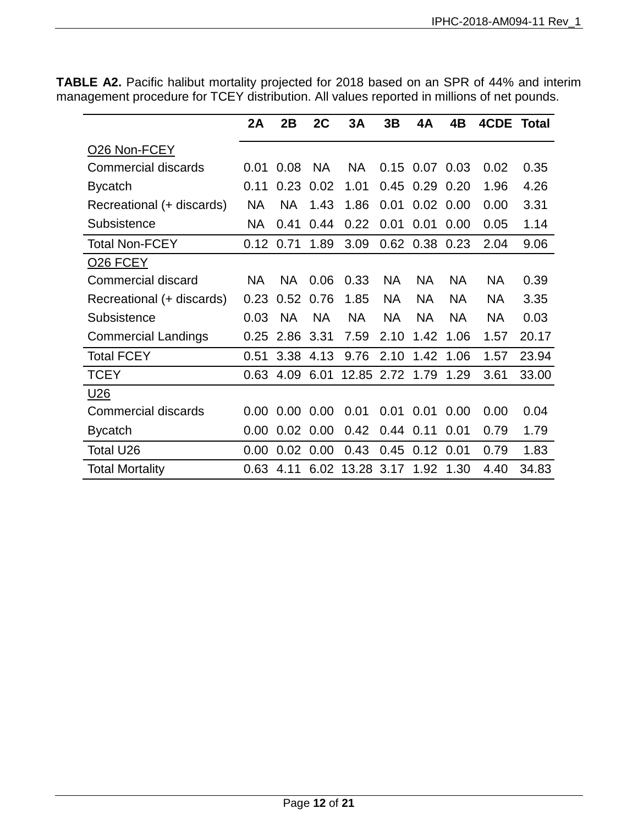|                            | 2A        | 2B        | 2C            | 3A                        | 3B        | 4Α               | 4B        | 4CDE      | Total |
|----------------------------|-----------|-----------|---------------|---------------------------|-----------|------------------|-----------|-----------|-------|
| O <sub>26</sub> Non-FCEY   |           |           |               |                           |           |                  |           |           |       |
| <b>Commercial discards</b> | 0.01      | 0.08      | <b>NA</b>     | <b>NA</b>                 | 0.15      | 0.07             | 0.03      | 0.02      | 0.35  |
| <b>Bycatch</b>             | 0.11      | 0.23      | 0.02          | 1.01                      | 0.45      | 0.29             | 0.20      | 1.96      | 4.26  |
| Recreational (+ discards)  | <b>NA</b> | <b>NA</b> | 1.43          | 1.86                      | 0.01      | 0.02             | 0.00      | 0.00      | 3.31  |
| Subsistence                | <b>NA</b> | 0.41      | 0.44          | 0.22                      | 0.01      | 0.01             | 0.00      | 0.05      | 1.14  |
| Total Non-FCEY             | 0.12      | 0.71      | 1.89          | 3.09                      |           | $0.62$ 0.38      | 0.23      | 2.04      | 9.06  |
| O <sub>26</sub> FCEY       |           |           |               |                           |           |                  |           |           |       |
| Commercial discard         | <b>NA</b> | <b>NA</b> | 0.06          | 0.33                      | <b>NA</b> | <b>NA</b>        | <b>NA</b> | <b>NA</b> | 0.39  |
| Recreational (+ discards)  | 0.23      | 0.52      | 0.76          | 1.85                      | <b>NA</b> | <b>NA</b>        | <b>NA</b> | <b>NA</b> | 3.35  |
| Subsistence                | 0.03      | <b>NA</b> | <b>NA</b>     | <b>NA</b>                 | <b>NA</b> | <b>NA</b>        | <b>NA</b> | <b>NA</b> | 0.03  |
| <b>Commercial Landings</b> | 0.25      | 2.86      | 3.31          | 7.59                      | 2.10      | 1.42             | 1.06      | 1.57      | 20.17 |
| <b>Total FCEY</b>          | 0.51      | 3.38      | 4.13          | 9.76                      | 2.10      | 1.42             | 1.06      | 1.57      | 23.94 |
| <b>TCEY</b>                | 0.63      | 4.09      | 6.01          | 12.85 2.72                |           | 1.79             | 1.29      | 3.61      | 33.00 |
| <u>U26</u>                 |           |           |               |                           |           |                  |           |           |       |
| <b>Commercial discards</b> | 0.00      | 0.00      | 0.00          | 0.01                      | 0.01      | 0.01             | 0.00      | 0.00      | 0.04  |
| <b>Bycatch</b>             | 0.00      |           | $0.02$ $0.00$ | 0.42                      |           | $0.44$ 0.11      | 0.01      | 0.79      | 1.79  |
| Total U26                  | 0.00      |           | $0.02$ 0.00   | 0.43                      |           | $0.45$ 0.12 0.01 |           | 0.79      | 1.83  |
| <b>Total Mortality</b>     | 0.63      | 4.11      |               | 6.02 13.28 3.17 1.92 1.30 |           |                  |           | 4.40      | 34.83 |

**TABLE A2.** Pacific halibut mortality projected for 2018 based on an SPR of 44% and interim management procedure for TCEY distribution. All values reported in millions of net pounds.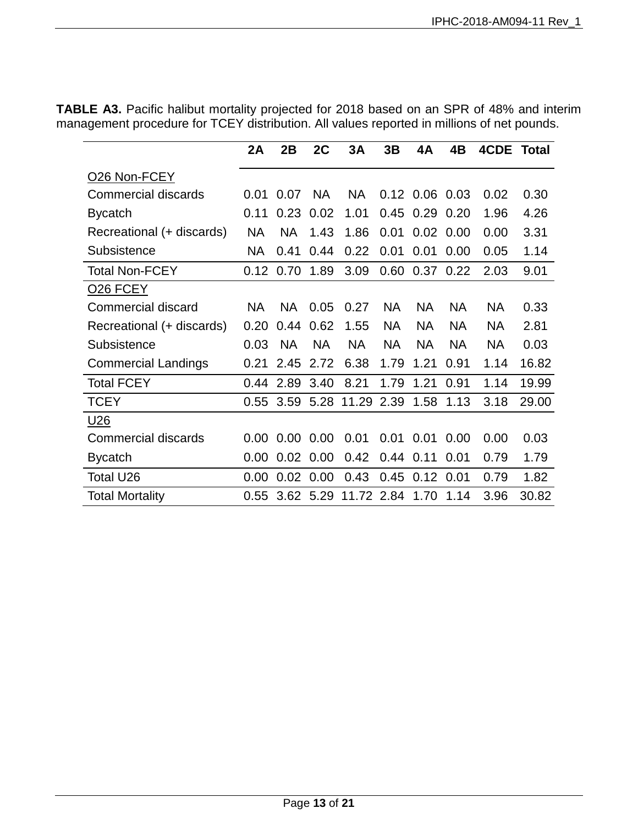|                            | 2A        | 2B          | 2C        | 3A         | 3B        | 4A               | 4B        | 4CDE      | Total |
|----------------------------|-----------|-------------|-----------|------------|-----------|------------------|-----------|-----------|-------|
| O <sub>26</sub> Non-FCEY   |           |             |           |            |           |                  |           |           |       |
| <b>Commercial discards</b> | 0.01      | 0.07        | <b>NA</b> | <b>NA</b>  |           | $0.12$ 0.06 0.03 |           | 0.02      | 0.30  |
| <b>Bycatch</b>             | 0.11      | 0.23        | 0.02      | 1.01       | 0.45      | 0.29             | 0.20      | 1.96      | 4.26  |
| Recreational (+ discards)  | <b>NA</b> | <b>NA</b>   | 1.43      | 1.86       | 0.01      | 0.02             | 0.00      | 0.00      | 3.31  |
| Subsistence                | <b>NA</b> | 0.41        | 0.44      | 0.22       | 0.01      | 0.01             | 0.00      | 0.05      | 1.14  |
| <b>Total Non-FCEY</b>      |           | $0.12$ 0.70 | 1.89      | 3.09       | 0.60      | 0.37             | 0.22      | 2.03      | 9.01  |
| <b>026 FCEY</b>            |           |             |           |            |           |                  |           |           |       |
| Commercial discard         | <b>NA</b> | <b>NA</b>   | 0.05      | 0.27       | <b>NA</b> | <b>NA</b>        | <b>NA</b> | <b>NA</b> | 0.33  |
| Recreational (+ discards)  | 0.20      | 0.44        | 0.62      | 1.55       | <b>NA</b> | <b>NA</b>        | <b>NA</b> | <b>NA</b> | 2.81  |
| Subsistence                | 0.03      | <b>NA</b>   | <b>NA</b> | <b>NA</b>  | <b>NA</b> | <b>NA</b>        | <b>NA</b> | <b>NA</b> | 0.03  |
| <b>Commercial Landings</b> | 0.21      | 2.45        | 2.72      | 6.38       | 1.79      | 1.21             | 0.91      | 1.14      | 16.82 |
| <b>Total FCEY</b>          | 0.44      | 2.89        | 3.40      | 8.21       | 1.79      | 1.21             | 0.91      | 1.14      | 19.99 |
| <b>TCEY</b>                | 0.55      | 3.59        | 5.28      | 11.29 2.39 |           | 1.58             | 1.13      | 3.18      | 29.00 |
| <u>U26</u>                 |           |             |           |            |           |                  |           |           |       |
| <b>Commercial discards</b> | 0.00      | 0.00        | 0.00      | 0.01       | 0.01      | 0.01             | 0.00      | 0.00      | 0.03  |
| <b>Bycatch</b>             | 0.00      | 0.02        | 0.00      | 0.42       | 0.44      | 0.11             | 0.01      | 0.79      | 1.79  |
| Total U26                  | 0.00      | 0.02        | 0.00      | 0.43       | 0.45      | 0.12             | 0.01      | 0.79      | 1.82  |
| <b>Total Mortality</b>     | 0.55      | 3.62        | 5.29      | 11.72 2.84 |           | 1.70             | 1.14      | 3.96      | 30.82 |

**TABLE A3.** Pacific halibut mortality projected for 2018 based on an SPR of 48% and interim management procedure for TCEY distribution. All values reported in millions of net pounds.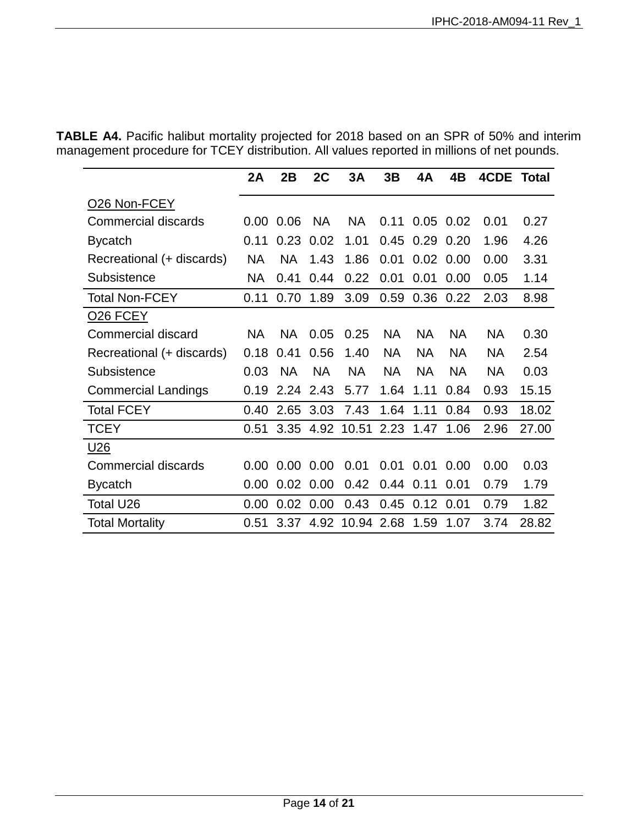**TABLE A4.** Pacific halibut mortality projected for 2018 based on an SPR of 50% and interim management procedure for TCEY distribution. All values reported in millions of net pounds.

|                            | 2A        | 2B        | 2C        | 3A        | 3B        | 4A        | 4B          | <b>4CDE Total</b> |       |
|----------------------------|-----------|-----------|-----------|-----------|-----------|-----------|-------------|-------------------|-------|
| O <sub>26</sub> Non-FCEY   |           |           |           |           |           |           |             |                   |       |
| <b>Commercial discards</b> | 0.00      | 0.06      | <b>NA</b> | <b>NA</b> | 0.11      |           | $0.05$ 0.02 | 0.01              | 0.27  |
| <b>Bycatch</b>             | 0.11      | 0.23      | 0.02      | 1.01      | 0.45      | 0.29      | 0.20        | 1.96              | 4.26  |
| Recreational (+ discards)  | <b>NA</b> | <b>NA</b> | 1.43      | 1.86      | 0.01      | 0.02      | 0.00        | 0.00              | 3.31  |
| Subsistence                | <b>NA</b> | 0.41      | 0.44      | 0.22      | 0.01      | 0.01      | 0.00        | 0.05              | 1.14  |
| <b>Total Non-FCEY</b>      | 0.11      | 0.70      | 1.89      | 3.09      | 0.59      | 0.36      | 0.22        | 2.03              | 8.98  |
| O <sub>26</sub> FCEY       |           |           |           |           |           |           |             |                   |       |
| <b>Commercial discard</b>  | <b>NA</b> | <b>NA</b> | 0.05      | 0.25      | <b>NA</b> | <b>NA</b> | <b>NA</b>   | <b>NA</b>         | 0.30  |
| Recreational (+ discards)  | 0.18      | 0.41      | 0.56      | 1.40      | <b>NA</b> | <b>NA</b> | <b>NA</b>   | <b>NA</b>         | 2.54  |
| Subsistence                | 0.03      | <b>NA</b> | <b>NA</b> | <b>NA</b> | <b>NA</b> | <b>NA</b> | <b>NA</b>   | <b>NA</b>         | 0.03  |
| <b>Commercial Landings</b> | 0.19      | 2.24      | 2.43      | 5.77      | 1.64      | 1.11      | 0.84        | 0.93              | 15.15 |
| <b>Total FCEY</b>          | 0.40      | 2.65      | 3.03      | 7.43      | 1.64      | 1.11      | 0.84        | 0.93              | 18.02 |
| <b>TCEY</b>                | 0.51      | 3.35      | 4.92      | 10.51     | 2.23      | 1.47      | 1.06        | 2.96              | 27.00 |
| U <sub>26</sub>            |           |           |           |           |           |           |             |                   |       |
| <b>Commercial discards</b> | 0.00      | 0.00      | 0.00      | 0.01      | 0.01      | 0.01      | 0.00        | 0.00              | 0.03  |
| <b>Bycatch</b>             | 0.00      | 0.02      | 0.00      | 0.42      | 0.44      | 0.11      | 0.01        | 0.79              | 1.79  |
| Total U26                  | 0.00      | 0.02      | 0.00      | 0.43      | 0.45      | 0.12      | 0.01        | 0.79              | 1.82  |
| <b>Total Mortality</b>     | 0.51      | 3.37      | 4.92      | 10.94     | 2.68      | 1.59      | 1.07        | 3.74              | 28.82 |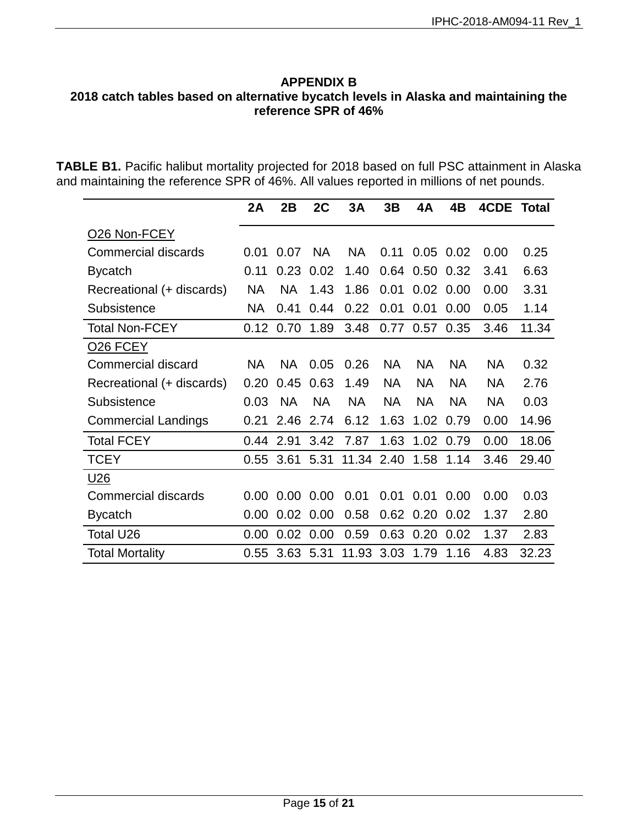#### <span id="page-14-0"></span>**APPENDIX B 2018 catch tables based on alternative bycatch levels in Alaska and maintaining the reference SPR of 46%**

**TABLE B1.** Pacific halibut mortality projected for 2018 based on full PSC attainment in Alaska and maintaining the reference SPR of 46%. All values reported in millions of net pounds.

|                            | 2A        | 2B        | 2C        | 3A         | 3B        | 4A        | 4B          | 4CDE      | <b>Total</b> |
|----------------------------|-----------|-----------|-----------|------------|-----------|-----------|-------------|-----------|--------------|
| O26 Non-FCEY               |           |           |           |            |           |           |             |           |              |
| <b>Commercial discards</b> | 0.01      | 0.07      | <b>NA</b> | <b>NA</b>  | 0.11      |           | $0.05$ 0.02 | 0.00      | 0.25         |
| <b>Bycatch</b>             | 0.11      | 0.23      | 0.02      | 1.40       | 0.64      | 0.50      | 0.32        | 3.41      | 6.63         |
| Recreational (+ discards)  | <b>NA</b> | <b>NA</b> | 1.43      | 1.86       | 0.01      | 0.02      | 0.00        | 0.00      | 3.31         |
| Subsistence                | NA        | 0.41      | 0.44      | 0.22       | 0.01      | 0.01      | 0.00        | 0.05      | 1.14         |
| <b>Total Non-FCEY</b>      | 0.12      | 0.70      | 1.89      | 3.48       | 0.77      | 0.57      | 0.35        | 3.46      | 11.34        |
| O <sub>26</sub> FCEY       |           |           |           |            |           |           |             |           |              |
| Commercial discard         | <b>NA</b> | <b>NA</b> | 0.05      | 0.26       | <b>NA</b> | <b>NA</b> | <b>NA</b>   | <b>NA</b> | 0.32         |
| Recreational (+ discards)  | 0.20      | 0.45      | 0.63      | 1.49       | <b>NA</b> | <b>NA</b> | <b>NA</b>   | <b>NA</b> | 2.76         |
| Subsistence                | 0.03      | <b>NA</b> | <b>NA</b> | <b>NA</b>  | <b>NA</b> | <b>NA</b> | <b>NA</b>   | <b>NA</b> | 0.03         |
| <b>Commercial Landings</b> | 0.21      | 2.46      | 2.74      | 6.12       | 1.63      | 1.02      | 0.79        | 0.00      | 14.96        |
| <b>Total FCEY</b>          | 0.44      | 2.91      | 3.42      | 7.87       | 1.63      | 1.02      | 0.79        | 0.00      | 18.06        |
| <b>TCEY</b>                | 0.55      | 3.61      | 5.31      | 11.34 2.40 |           | 1.58      | 1.14        | 3.46      | 29.40        |
| U <sub>26</sub>            |           |           |           |            |           |           |             |           |              |
| <b>Commercial discards</b> | 0.00      | 0.00      | 0.00      | 0.01       | 0.01      | 0.01      | 0.00        | 0.00      | 0.03         |
| <b>Bycatch</b>             | 0.00      | 0.02      | 0.00      | 0.58       | 0.62      | 0.20      | 0.02        | 1.37      | 2.80         |
| Total U26                  | 0.00      | 0.02      | 0.00      | 0.59       | 0.63      | 0.20      | 0.02        | 1.37      | 2.83         |
| <b>Total Mortality</b>     | 0.55      | 3.63      | 5.31      | 11.93      | 3.03      | 1.79      | 1.16        | 4.83      | 32.23        |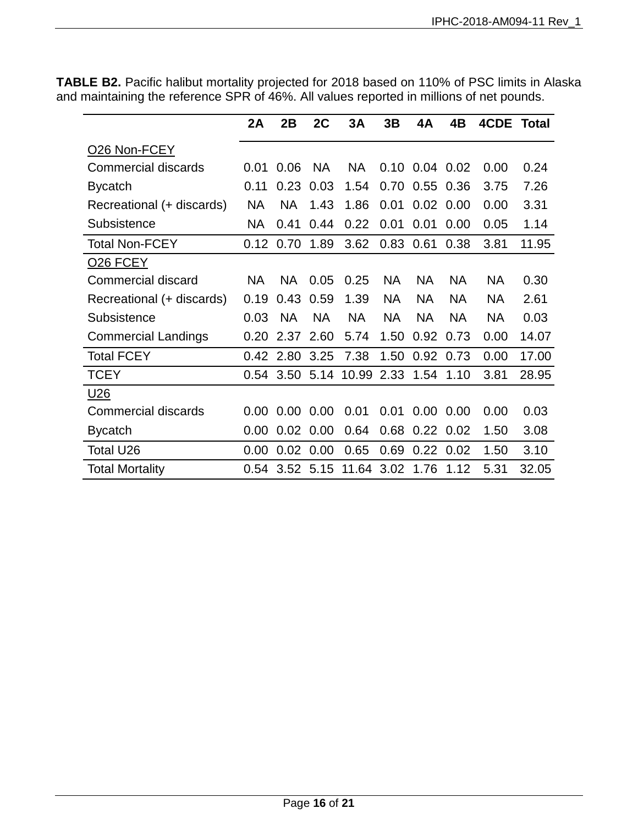|                            | 2A        | 2B        | 2C        | 3A         | 3B        | 4A        | 4B          | <b>4CDE Total</b> |       |
|----------------------------|-----------|-----------|-----------|------------|-----------|-----------|-------------|-------------------|-------|
| O <sub>26</sub> Non-FCEY   |           |           |           |            |           |           |             |                   |       |
| <b>Commercial discards</b> | 0.01      | 0.06      | <b>NA</b> | <b>NA</b>  | 0.10      |           | $0.04$ 0.02 | 0.00              | 0.24  |
| <b>Bycatch</b>             | 0.11      | 0.23      | 0.03      | 1.54       | 0.70      | 0.55      | 0.36        | 3.75              | 7.26  |
| Recreational (+ discards)  | <b>NA</b> | <b>NA</b> | 1.43      | 1.86       | 0.01      | 0.02      | 0.00        | 0.00              | 3.31  |
| Subsistence                | <b>NA</b> | 0.41      | 0.44      | 0.22       | 0.01      | 0.01      | 0.00        | 0.05              | 1.14  |
| <b>Total Non-FCEY</b>      | 0.12      | 0.70      | 1.89      | 3.62       | 0.83      | 0.61      | 0.38        | 3.81              | 11.95 |
| <b>026 FCEY</b>            |           |           |           |            |           |           |             |                   |       |
| Commercial discard         | <b>NA</b> | <b>NA</b> | 0.05      | 0.25       | <b>NA</b> | <b>NA</b> | <b>NA</b>   | <b>NA</b>         | 0.30  |
| Recreational (+ discards)  | 0.19      | 0.43      | 0.59      | 1.39       | <b>NA</b> | <b>NA</b> | <b>NA</b>   | <b>NA</b>         | 2.61  |
| Subsistence                | 0.03      | <b>NA</b> | <b>NA</b> | <b>NA</b>  | <b>NA</b> | <b>NA</b> | <b>NA</b>   | <b>NA</b>         | 0.03  |
| <b>Commercial Landings</b> | 0.20      | 2.37      | 2.60      | 5.74       | 1.50      | 0.92      | 0.73        | 0.00              | 14.07 |
| <b>Total FCEY</b>          | 0.42      | 2.80      | 3.25      | 7.38       | 1.50      | 0.92      | 0.73        | 0.00              | 17.00 |
| <b>TCEY</b>                | 0.54      |           | 3.50 5.14 | 10.99      | 2.33      | 1.54      | 1.10        | 3.81              | 28.95 |
| U <sub>26</sub>            |           |           |           |            |           |           |             |                   |       |
| Commercial discards        | 0.00      | 0.00      | 0.00      | 0.01       | 0.01      | 0.00      | 0.00        | 0.00              | 0.03  |
| <b>Bycatch</b>             | 0.00      | 0.02      | 0.00      | 0.64       | 0.68      | 0.22      | 0.02        | 1.50              | 3.08  |
| Total U26                  | 0.00      | 0.02      | 0.00      | 0.65       | 0.69      | 0.22      | 0.02        | 1.50              | 3.10  |
| <b>Total Mortality</b>     | 0.54      |           | 3.52 5.15 | 11.64 3.02 |           | 1.76      | 1.12        | 5.31              | 32.05 |

**TABLE B2.** Pacific halibut mortality projected for 2018 based on 110% of PSC limits in Alaska and maintaining the reference SPR of 46%. All values reported in millions of net pounds.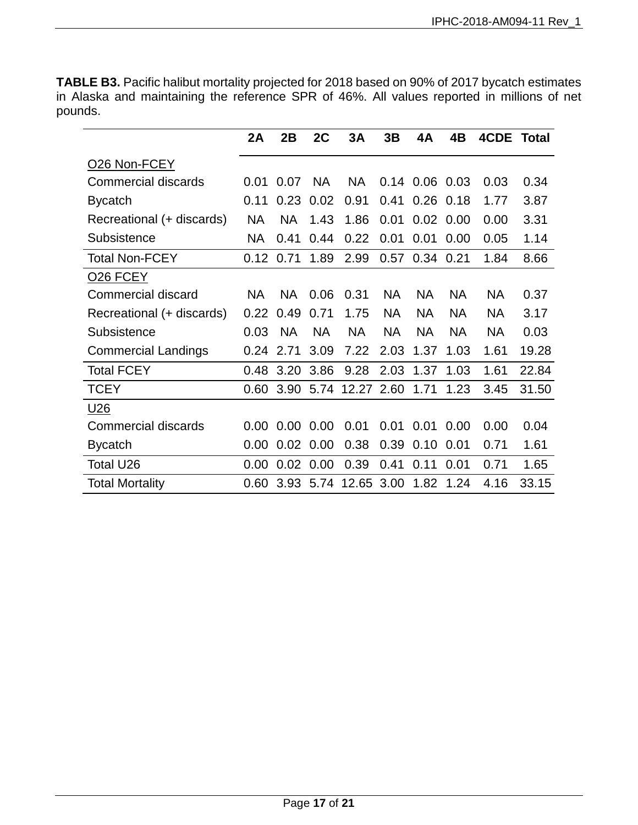**TABLE B3.** Pacific halibut mortality projected for 2018 based on 90% of 2017 bycatch estimates in Alaska and maintaining the reference SPR of 46%. All values reported in millions of net pounds.

|                            | 2A        | 2B        | 2C        | 3A         | 3B        | 4A        | 4B          | 4CDE      | Total |
|----------------------------|-----------|-----------|-----------|------------|-----------|-----------|-------------|-----------|-------|
| O <sub>26</sub> Non-FCEY   |           |           |           |            |           |           |             |           |       |
| <b>Commercial discards</b> | 0.01      | 0.07      | <b>NA</b> | NA         | 0.14      |           | $0.06$ 0.03 | 0.03      | 0.34  |
| <b>Bycatch</b>             | 0.11      | 0.23      | 0.02      | 0.91       | 0.41      | 0.26      | 0.18        | 1.77      | 3.87  |
| Recreational (+ discards)  | <b>NA</b> | <b>NA</b> | 1.43      | 1.86       | 0.01      | 0.02      | 0.00        | 0.00      | 3.31  |
| Subsistence                | <b>NA</b> | 0.41      | 0.44      | 0.22       | 0.01      | 0.01      | 0.00        | 0.05      | 1.14  |
| <b>Total Non-FCEY</b>      | 0.12      | 0.71      | 1.89      | 2.99       | 0.57      |           | 0.34 0.21   | 1.84      | 8.66  |
| <b>026 FCEY</b>            |           |           |           |            |           |           |             |           |       |
| Commercial discard         | <b>NA</b> | <b>NA</b> | 0.06      | 0.31       | <b>NA</b> | <b>NA</b> | <b>NA</b>   | <b>NA</b> | 0.37  |
| Recreational (+ discards)  | 0.22      | 0.49      | 0.71      | 1.75       | <b>NA</b> | <b>NA</b> | <b>NA</b>   | <b>NA</b> | 3.17  |
| Subsistence                | 0.03      | <b>NA</b> | <b>NA</b> | <b>NA</b>  | <b>NA</b> | <b>NA</b> | <b>NA</b>   | <b>NA</b> | 0.03  |
| <b>Commercial Landings</b> | 0.24      | 2.71      | 3.09      | 7.22       | 2.03      | 1.37      | 1.03        | 1.61      | 19.28 |
| <b>Total FCEY</b>          | 0.48      | 3.20      | 3.86      | 9.28       | 2.03      | 1.37      | 1.03        | 1.61      | 22.84 |
| <b>TCEY</b>                | 0.60      | 3.90      | 5.74      | 12.27 2.60 |           | 1.71      | 1.23        | 3.45      | 31.50 |
| <u>U26</u>                 |           |           |           |            |           |           |             |           |       |
| Commercial discards        | 0.00      | 0.00      | 0.00      | 0.01       | 0.01      | 0.01      | 0.00        | 0.00      | 0.04  |
| <b>Bycatch</b>             | 0.00      | 0.02      | 0.00      | 0.38       | 0.39      | 0.10      | 0.01        | 0.71      | 1.61  |
| Total U26                  | 0.00      | 0.02      | 0.00      | 0.39       | 0.41      | 0.11      | 0.01        | 0.71      | 1.65  |
| <b>Total Mortality</b>     | 0.60      | 3.93      | 5.74      | 12.65      | 3.00      | 1.82      | 1.24        | 4.16      | 33.15 |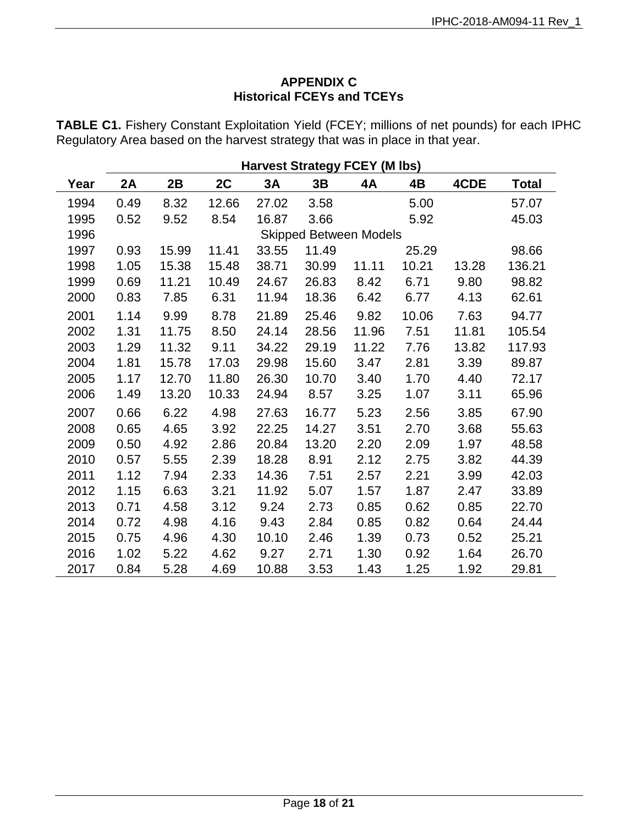# **APPENDIX C Historical FCEYs and TCEYs**

<span id="page-17-0"></span>**TABLE C1.** Fishery Constant Exploitation Yield (FCEY; millions of net pounds) for each IPHC Regulatory Area based on the harvest strategy that was in place in that year.

|      | <b>Harvest Strategy FCEY (M lbs)</b> |       |       |       |       |                               |       |       |              |  |  |
|------|--------------------------------------|-------|-------|-------|-------|-------------------------------|-------|-------|--------------|--|--|
| Year | 2A                                   | 2B    | 2C    | 3A    | 3B    | 4A                            | 4B    | 4CDE  | <b>Total</b> |  |  |
| 1994 | 0.49                                 | 8.32  | 12.66 | 27.02 | 3.58  |                               | 5.00  |       | 57.07        |  |  |
| 1995 | 0.52                                 | 9.52  | 8.54  | 16.87 | 3.66  |                               | 5.92  |       | 45.03        |  |  |
| 1996 |                                      |       |       |       |       | <b>Skipped Between Models</b> |       |       |              |  |  |
| 1997 | 0.93                                 | 15.99 | 11.41 | 33.55 | 11.49 |                               | 25.29 |       | 98.66        |  |  |
| 1998 | 1.05                                 | 15.38 | 15.48 | 38.71 | 30.99 | 11.11                         | 10.21 | 13.28 | 136.21       |  |  |
| 1999 | 0.69                                 | 11.21 | 10.49 | 24.67 | 26.83 | 8.42                          | 6.71  | 9.80  | 98.82        |  |  |
| 2000 | 0.83                                 | 7.85  | 6.31  | 11.94 | 18.36 | 6.42                          | 6.77  | 4.13  | 62.61        |  |  |
| 2001 | 1.14                                 | 9.99  | 8.78  | 21.89 | 25.46 | 9.82                          | 10.06 | 7.63  | 94.77        |  |  |
| 2002 | 1.31                                 | 11.75 | 8.50  | 24.14 | 28.56 | 11.96                         | 7.51  | 11.81 | 105.54       |  |  |
| 2003 | 1.29                                 | 11.32 | 9.11  | 34.22 | 29.19 | 11.22                         | 7.76  | 13.82 | 117.93       |  |  |
| 2004 | 1.81                                 | 15.78 | 17.03 | 29.98 | 15.60 | 3.47                          | 2.81  | 3.39  | 89.87        |  |  |
| 2005 | 1.17                                 | 12.70 | 11.80 | 26.30 | 10.70 | 3.40                          | 1.70  | 4.40  | 72.17        |  |  |
| 2006 | 1.49                                 | 13.20 | 10.33 | 24.94 | 8.57  | 3.25                          | 1.07  | 3.11  | 65.96        |  |  |
| 2007 | 0.66                                 | 6.22  | 4.98  | 27.63 | 16.77 | 5.23                          | 2.56  | 3.85  | 67.90        |  |  |
| 2008 | 0.65                                 | 4.65  | 3.92  | 22.25 | 14.27 | 3.51                          | 2.70  | 3.68  | 55.63        |  |  |
| 2009 | 0.50                                 | 4.92  | 2.86  | 20.84 | 13.20 | 2.20                          | 2.09  | 1.97  | 48.58        |  |  |
| 2010 | 0.57                                 | 5.55  | 2.39  | 18.28 | 8.91  | 2.12                          | 2.75  | 3.82  | 44.39        |  |  |
| 2011 | 1.12                                 | 7.94  | 2.33  | 14.36 | 7.51  | 2.57                          | 2.21  | 3.99  | 42.03        |  |  |
| 2012 | 1.15                                 | 6.63  | 3.21  | 11.92 | 5.07  | 1.57                          | 1.87  | 2.47  | 33.89        |  |  |
| 2013 | 0.71                                 | 4.58  | 3.12  | 9.24  | 2.73  | 0.85                          | 0.62  | 0.85  | 22.70        |  |  |
| 2014 | 0.72                                 | 4.98  | 4.16  | 9.43  | 2.84  | 0.85                          | 0.82  | 0.64  | 24.44        |  |  |
| 2015 | 0.75                                 | 4.96  | 4.30  | 10.10 | 2.46  | 1.39                          | 0.73  | 0.52  | 25.21        |  |  |
| 2016 | 1.02                                 | 5.22  | 4.62  | 9.27  | 2.71  | 1.30                          | 0.92  | 1.64  | 26.70        |  |  |
| 2017 | 0.84                                 | 5.28  | 4.69  | 10.88 | 3.53  | 1.43                          | 1.25  | 1.92  | 29.81        |  |  |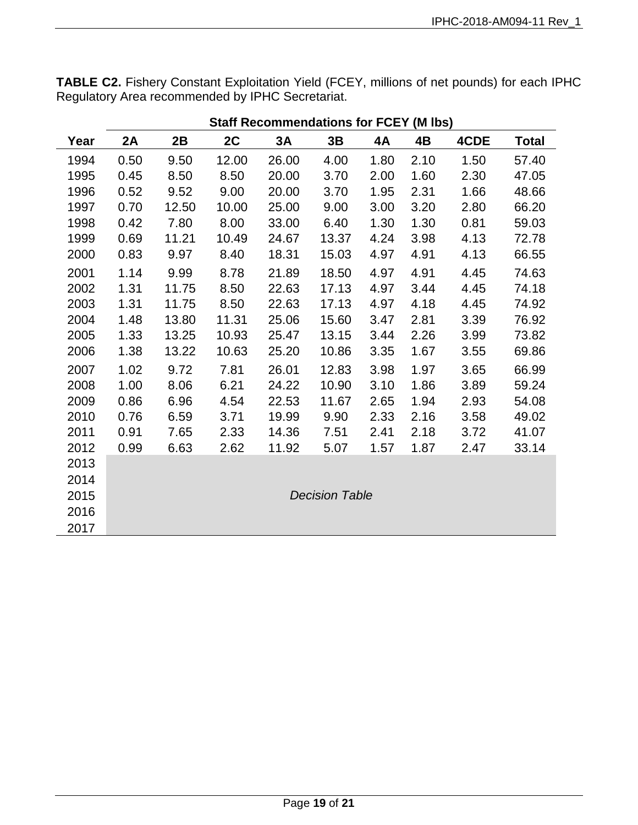**TABLE C2.** Fishery Constant Exploitation Yield (FCEY, millions of net pounds) for each IPHC Regulatory Area recommended by IPHC Secretariat.

|      | Staff Recommendations for FCEY (M lbs) |       |       |       |                       |      |      |      |              |  |  |
|------|----------------------------------------|-------|-------|-------|-----------------------|------|------|------|--------------|--|--|
| Year | 2A                                     | 2B    | 2C    | 3A    | 3B                    | 4A   | 4B   | 4CDE | <b>Total</b> |  |  |
| 1994 | 0.50                                   | 9.50  | 12.00 | 26.00 | 4.00                  | 1.80 | 2.10 | 1.50 | 57.40        |  |  |
| 1995 | 0.45                                   | 8.50  | 8.50  | 20.00 | 3.70                  | 2.00 | 1.60 | 2.30 | 47.05        |  |  |
| 1996 | 0.52                                   | 9.52  | 9.00  | 20.00 | 3.70                  | 1.95 | 2.31 | 1.66 | 48.66        |  |  |
| 1997 | 0.70                                   | 12.50 | 10.00 | 25.00 | 9.00                  | 3.00 | 3.20 | 2.80 | 66.20        |  |  |
| 1998 | 0.42                                   | 7.80  | 8.00  | 33.00 | 6.40                  | 1.30 | 1.30 | 0.81 | 59.03        |  |  |
| 1999 | 0.69                                   | 11.21 | 10.49 | 24.67 | 13.37                 | 4.24 | 3.98 | 4.13 | 72.78        |  |  |
| 2000 | 0.83                                   | 9.97  | 8.40  | 18.31 | 15.03                 | 4.97 | 4.91 | 4.13 | 66.55        |  |  |
| 2001 | 1.14                                   | 9.99  | 8.78  | 21.89 | 18.50                 | 4.97 | 4.91 | 4.45 | 74.63        |  |  |
| 2002 | 1.31                                   | 11.75 | 8.50  | 22.63 | 17.13                 | 4.97 | 3.44 | 4.45 | 74.18        |  |  |
| 2003 | 1.31                                   | 11.75 | 8.50  | 22.63 | 17.13                 | 4.97 | 4.18 | 4.45 | 74.92        |  |  |
| 2004 | 1.48                                   | 13.80 | 11.31 | 25.06 | 15.60                 | 3.47 | 2.81 | 3.39 | 76.92        |  |  |
| 2005 | 1.33                                   | 13.25 | 10.93 | 25.47 | 13.15                 | 3.44 | 2.26 | 3.99 | 73.82        |  |  |
| 2006 | 1.38                                   | 13.22 | 10.63 | 25.20 | 10.86                 | 3.35 | 1.67 | 3.55 | 69.86        |  |  |
| 2007 | 1.02                                   | 9.72  | 7.81  | 26.01 | 12.83                 | 3.98 | 1.97 | 3.65 | 66.99        |  |  |
| 2008 | 1.00                                   | 8.06  | 6.21  | 24.22 | 10.90                 | 3.10 | 1.86 | 3.89 | 59.24        |  |  |
| 2009 | 0.86                                   | 6.96  | 4.54  | 22.53 | 11.67                 | 2.65 | 1.94 | 2.93 | 54.08        |  |  |
| 2010 | 0.76                                   | 6.59  | 3.71  | 19.99 | 9.90                  | 2.33 | 2.16 | 3.58 | 49.02        |  |  |
| 2011 | 0.91                                   | 7.65  | 2.33  | 14.36 | 7.51                  | 2.41 | 2.18 | 3.72 | 41.07        |  |  |
| 2012 | 0.99                                   | 6.63  | 2.62  | 11.92 | 5.07                  | 1.57 | 1.87 | 2.47 | 33.14        |  |  |
| 2013 |                                        |       |       |       |                       |      |      |      |              |  |  |
| 2014 |                                        |       |       |       |                       |      |      |      |              |  |  |
| 2015 |                                        |       |       |       | <b>Decision Table</b> |      |      |      |              |  |  |
| 2016 |                                        |       |       |       |                       |      |      |      |              |  |  |
| 2017 |                                        |       |       |       |                       |      |      |      |              |  |  |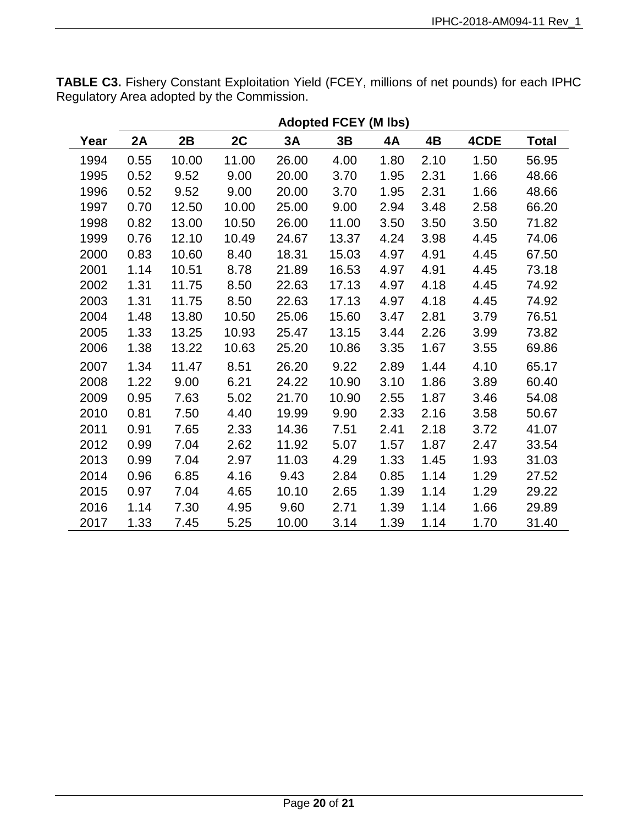| <b>TABLE C3.</b> Fishery Constant Exploitation Yield (FCEY, millions of net pounds) for each IPHC |  |
|---------------------------------------------------------------------------------------------------|--|
| Regulatory Area adopted by the Commission.                                                        |  |

|      | <b>Adopted FCEY (M lbs)</b> |       |       |       |       |      |      |      |              |  |  |
|------|-----------------------------|-------|-------|-------|-------|------|------|------|--------------|--|--|
| Year | 2A                          | 2B    | 2C    | 3A    | 3B    | 4A   | 4B   | 4CDE | <b>Total</b> |  |  |
| 1994 | 0.55                        | 10.00 | 11.00 | 26.00 | 4.00  | 1.80 | 2.10 | 1.50 | 56.95        |  |  |
| 1995 | 0.52                        | 9.52  | 9.00  | 20.00 | 3.70  | 1.95 | 2.31 | 1.66 | 48.66        |  |  |
| 1996 | 0.52                        | 9.52  | 9.00  | 20.00 | 3.70  | 1.95 | 2.31 | 1.66 | 48.66        |  |  |
| 1997 | 0.70                        | 12.50 | 10.00 | 25.00 | 9.00  | 2.94 | 3.48 | 2.58 | 66.20        |  |  |
| 1998 | 0.82                        | 13.00 | 10.50 | 26.00 | 11.00 | 3.50 | 3.50 | 3.50 | 71.82        |  |  |
| 1999 | 0.76                        | 12.10 | 10.49 | 24.67 | 13.37 | 4.24 | 3.98 | 4.45 | 74.06        |  |  |
| 2000 | 0.83                        | 10.60 | 8.40  | 18.31 | 15.03 | 4.97 | 4.91 | 4.45 | 67.50        |  |  |
| 2001 | 1.14                        | 10.51 | 8.78  | 21.89 | 16.53 | 4.97 | 4.91 | 4.45 | 73.18        |  |  |
| 2002 | 1.31                        | 11.75 | 8.50  | 22.63 | 17.13 | 4.97 | 4.18 | 4.45 | 74.92        |  |  |
| 2003 | 1.31                        | 11.75 | 8.50  | 22.63 | 17.13 | 4.97 | 4.18 | 4.45 | 74.92        |  |  |
| 2004 | 1.48                        | 13.80 | 10.50 | 25.06 | 15.60 | 3.47 | 2.81 | 3.79 | 76.51        |  |  |
| 2005 | 1.33                        | 13.25 | 10.93 | 25.47 | 13.15 | 3.44 | 2.26 | 3.99 | 73.82        |  |  |
| 2006 | 1.38                        | 13.22 | 10.63 | 25.20 | 10.86 | 3.35 | 1.67 | 3.55 | 69.86        |  |  |
| 2007 | 1.34                        | 11.47 | 8.51  | 26.20 | 9.22  | 2.89 | 1.44 | 4.10 | 65.17        |  |  |
| 2008 | 1.22                        | 9.00  | 6.21  | 24.22 | 10.90 | 3.10 | 1.86 | 3.89 | 60.40        |  |  |
| 2009 | 0.95                        | 7.63  | 5.02  | 21.70 | 10.90 | 2.55 | 1.87 | 3.46 | 54.08        |  |  |
| 2010 | 0.81                        | 7.50  | 4.40  | 19.99 | 9.90  | 2.33 | 2.16 | 3.58 | 50.67        |  |  |
| 2011 | 0.91                        | 7.65  | 2.33  | 14.36 | 7.51  | 2.41 | 2.18 | 3.72 | 41.07        |  |  |
| 2012 | 0.99                        | 7.04  | 2.62  | 11.92 | 5.07  | 1.57 | 1.87 | 2.47 | 33.54        |  |  |
| 2013 | 0.99                        | 7.04  | 2.97  | 11.03 | 4.29  | 1.33 | 1.45 | 1.93 | 31.03        |  |  |
| 2014 | 0.96                        | 6.85  | 4.16  | 9.43  | 2.84  | 0.85 | 1.14 | 1.29 | 27.52        |  |  |
| 2015 | 0.97                        | 7.04  | 4.65  | 10.10 | 2.65  | 1.39 | 1.14 | 1.29 | 29.22        |  |  |
| 2016 | 1.14                        | 7.30  | 4.95  | 9.60  | 2.71  | 1.39 | 1.14 | 1.66 | 29.89        |  |  |
| 2017 | 1.33                        | 7.45  | 5.25  | 10.00 | 3.14  | 1.39 | 1.14 | 1.70 | 31.40        |  |  |